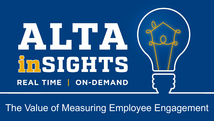# AIHA **InSIGHTS** REAL TIME | ON-DEMAND

## The Value of Measuring Employee Engagement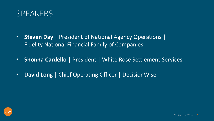

- **Steven Day** | President of National Agency Operations | Fidelity National Financial Family of Companies
- **Shonna Cardello** | President | White Rose Settlement Services
- **David Long** | Chief Operating Officer | DecisionWise

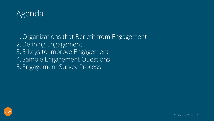

1. Organizations that Benefit from Engagement 2. Defining Engagement 3. 5 Keys to Improve Engagement 4. Sample Engagement Questions 5. Engagement Survey Process

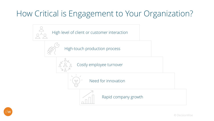## How Critical is Engagement to Your Organization?



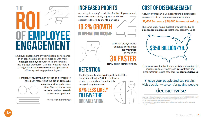# THE OF EMPLOYEE **ENGAGEMENT**

Employee engagement drives individual performance in an organization, but do companies with more engaged employees outperform those with a less-engaged workforce? Can the company show a stronger financial performance and operational efficiency with engaged employees?

Scholars, consultants, non-profits, and companies have been researching the ROI of employee engagement for quite some





Here are some findings:

#### **INCREASED PROFITS**

According to a study<sup>1</sup> conducted for the UK government, companies with a highly engaged workforce experience (over a 12-month period) a

# IN OPERATING INCOME



Another study<sup>2</sup> found engaged companies grow profits as much as

#### **THAN THEIR COMPETITORS.**

#### **RETENTION**

The Corporate Leadership Council studied<sup>2</sup> the engagement level of 50,000 employees around the world and found highly engaged employees are

**87% LESS LIKELY** TO LEAVE THE ORGANIZATION.

#### **COST OF DISENGAGEMENT**

A study<sup>3</sup> by McLean & Company found a disengaged employee costs an organization approximately \$3,400 for every \$10,000 in annual salary.

The same study found that lost productivity due to disengaged employees cost the US economy up to



If companies want to bolster productivity and profitability, increase customer loyalty, and slash attrition and disengagement losses, they have to engage employees.

Engage your people and see results. Visit decisionwise.com/engaging-people decisionwise

Sources: 1. https://engageforsuccess.org/wp-content/uploads/2015/08/file52215.pdf 2. https://www.stcloudstate.edu/humanresources/ files/documents/ supv-brown-bag/employee-engagement.pdf

3. https://hr.mcleanco.com/research/ss/implement-an-action-plan-for-employeeengagement-initiatives

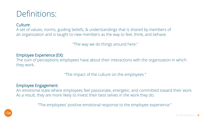## Definitions:

Culture:

A set of values, norms, guiding beliefs, & understandings that is shared by members of an organization and is taught to new members as the way to feel, think, and behave.

"The way we do things around here."

#### Employee Experience (EX):

The sum of perceptions employees have about their interactions with the organization in which they work.

"The impact of the culture on the employees."

#### Employee Engagement:

An emotional state where employees feel passionate, energetic, and committed toward their work. As a result, they are more likely to invest their best selves in the work they do.

"The employees' positive emotional response to the employee experience."

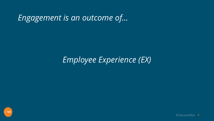*Engagement is an outcome of…* 

#### *Employee Experience (EX)*

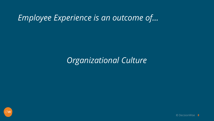## *Employee Experience is an outcome of…*

#### *Organizational Culture*

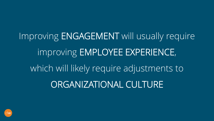Improving ENGAGEMENT will usually require improving EMPLOYEE EXPERIENCE, which will likely require adjustments to ORGANIZATIONAL CULTURE

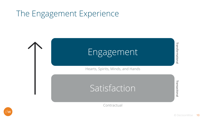## The Engagement Experience



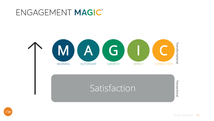#### ENGAGEMENT MAGIC®



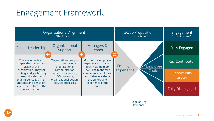## Engagement Framework

 $\bigcap$  W

| Organizational Alignment<br>"The Process"                                                                                                                                |                                                                                                                                                    |                                                                                                                                                                  | 50/50 Proposition<br>"The Invitation"                      | Engagement<br>"The Outcome" |
|--------------------------------------------------------------------------------------------------------------------------------------------------------------------------|----------------------------------------------------------------------------------------------------------------------------------------------------|------------------------------------------------------------------------------------------------------------------------------------------------------------------|------------------------------------------------------------|-----------------------------|
| Senior Leadership                                                                                                                                                        | Organizational<br>Support                                                                                                                          | Managers &<br><b>Teams</b>                                                                                                                                       |                                                            | <b>Fully Engaged</b>        |
| The executive team<br>shapes the mission and<br>vision of the<br>organization. They set<br>strategy and goals. They<br>make policy decisions<br>that influence EX. Their | Organizational support<br>structures include<br>organizational<br>communication<br>systems, incentives,<br>L&D programs,<br>organizational design, | Much of the employee<br>experience is shaped<br>directly at the team<br>level. The manager's<br>competence, attitudes,<br>and behaviors shape<br>the culture and | Employee<br><b>Employee</b><br><b>Experience</b><br>Choice | <b>Key Contributor</b>      |
|                                                                                                                                                                          |                                                                                                                                                    |                                                                                                                                                                  |                                                            | Opportunity<br>Group        |
| attitudes and behaviors<br>shape the culture of the<br>organization.                                                                                                     | lifecycle processes.                                                                                                                               | experience of the<br>team.                                                                                                                                       |                                                            | <b>Fully Disengaged</b>     |

Edge of Org Influence

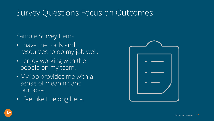#### Survey Questions Focus on Outcomes

#### Sample Survey Items:

- I have the tools and resources to do my job well.
- I enjoy working with the people on my team.
- My job provides me with a sense of meaning and purpose.
- I feel like I belong here.



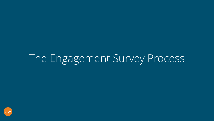## The Engagement Survey Process

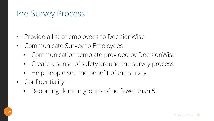## Pre-Survey Process

- Provide a list of employees to DecisionWise
- Communicate Survey to Employees
	- Communication template provided by DecisionWise
	- Create a sense of safety around the survey process
	- Help people see the benefit of the survey
- Confidentiality
	- Reporting done in groups of no fewer than 5

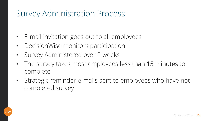## Survey Administration Process

- E-mail invitation goes out to all employees
- DecisionWise monitors participation
- Survey Administered over 2 weeks
- The survey takes most employees less than 15 minutes to complete
- Strategic reminder e-mails sent to employees who have not completed survey

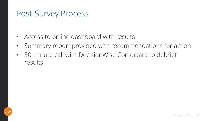## Post-Survey Process

- Access to online dashboard with results
- Summary report provided with recommendations for action
- 30 minute call with DecisionWise Consultant to debrief results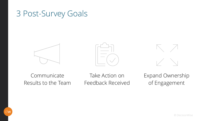#### 3 Post-Survey Goals







Communicate Results to the Team

Take Action on Feedback Received Expand Ownership of Engagement

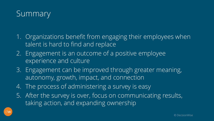

- 1. Organizations benefit from engaging their employees when talent is hard to find and replace
- 2. Engagement is an outcome of a positive employee experience and culture
- 3. Engagement can be improved through greater meaning, autonomy, growth, impact, and connection
- 4. The process of administering a survey is easy
- 5. After the survey is over, focus on communicating results, taking action, and expanding ownership